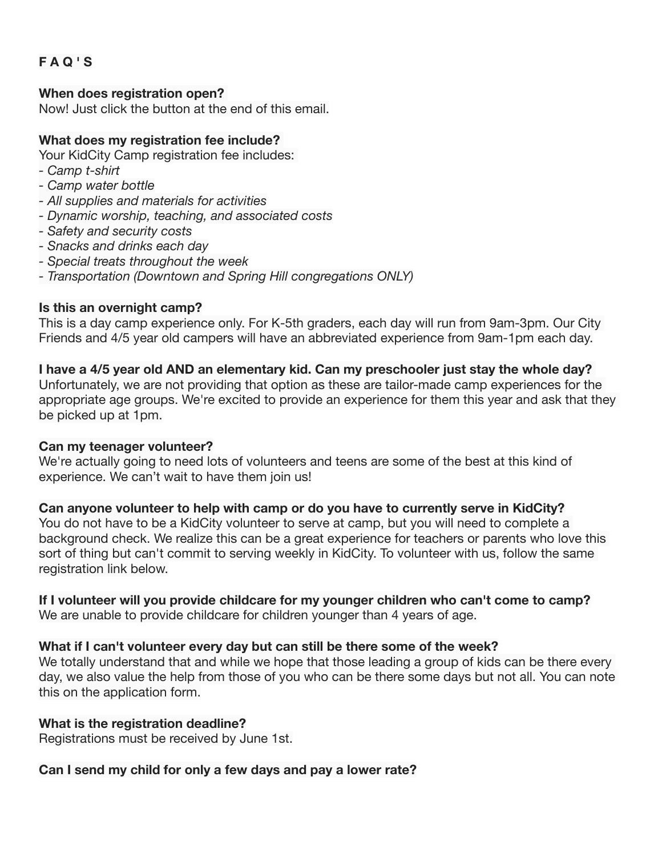# **F A Q ' S**

### **When does registration open?**

Now! Just click the button at the end of this email.

#### **What does my registration fee include?**

Your KidCity Camp registration fee includes:

- *Camp t-shirt*
- *Camp water bottle*
- *All supplies and materials for activities*
- *Dynamic worship, teaching, and associated costs*
- *Safety and security costs*
- *Snacks and drinks each day*
- *Special treats throughout the week*
- *Transportation (Downtown and Spring Hill congregations ONLY)*

#### **Is this an overnight camp?**

This is a day camp experience only. For K-5th graders, each day will run from 9am-3pm. Our City Friends and 4/5 year old campers will have an abbreviated experience from 9am-1pm each day.

## **I have a 4/5 year old AND an elementary kid. Can my preschooler just stay the whole day?**

Unfortunately, we are not providing that option as these are tailor-made camp experiences for the appropriate age groups. We're excited to provide an experience for them this year and ask that they be picked up at 1pm.

#### **Can my teenager volunteer?**

We're actually going to need lots of volunteers and teens are some of the best at this kind of experience. We can't wait to have them join us!

## **Can anyone volunteer to help with camp or do you have to currently serve in KidCity?**

You do not have to be a KidCity volunteer to serve at camp, but you will need to complete a background check. We realize this can be a great experience for teachers or parents who love this sort of thing but can't commit to serving weekly in KidCity. To volunteer with us, follow the same registration link below.

## **If I volunteer will you provide childcare for my younger children who can't come to camp?**

We are unable to provide childcare for children younger than 4 years of age.

## **What if I can't volunteer every day but can still be there some of the week?**

We totally understand that and while we hope that those leading a group of kids can be there every day, we also value the help from those of you who can be there some days but not all. You can note this on the application form.

## **What is the registration deadline?**

Registrations must be received by June 1st.

# **Can I send my child for only a few days and pay a lower rate?**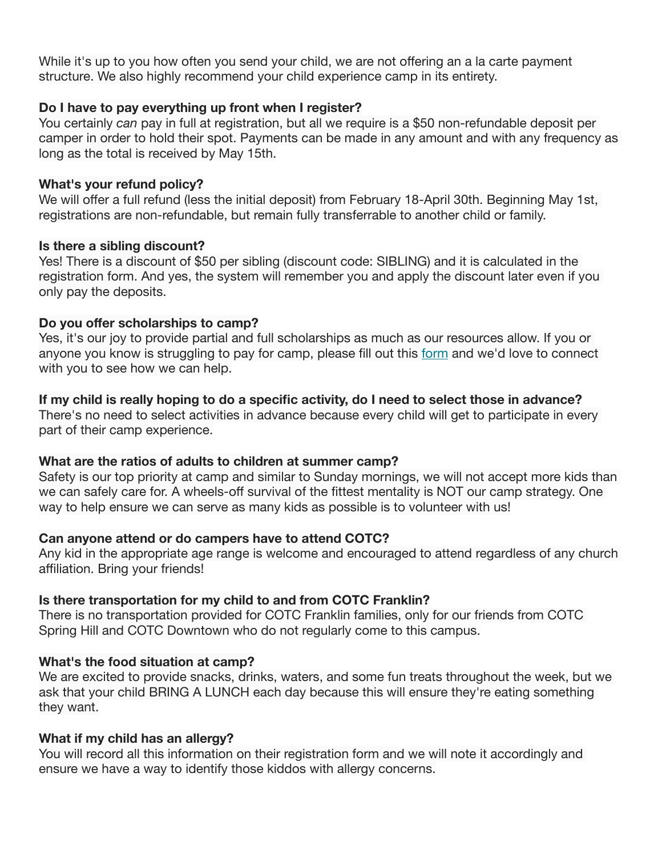While it's up to you how often you send your child, we are not offering an a la carte payment structure. We also highly recommend your child experience camp in its entirety.

## **Do I have to pay everything up front when I register?**

You certainly *can* pay in full at registration, but all we require is a \$50 non-refundable deposit per camper in order to hold their spot. Payments can be made in any amount and with any frequency as long as the total is received by May 15th.

## **What's your refund policy?**

We will offer a full refund (less the initial deposit) from February 18-April 30th. Beginning May 1st, registrations are non-refundable, but remain fully transferrable to another child or family.

## **Is there a sibling discount?**

Yes! There is a discount of \$50 per sibling (discount code: SIBLING) and it is calculated in the registration form. And yes, the system will remember you and apply the discount later even if you only pay the deposits.

## **Do you offer scholarships to camp?**

Yes, it's our joy to provide partial and full scholarships as much as our resources allow. If you or anyone you know is struggling to pay for camp, please fill out this [form](https://churchofthecity.us16.list-manage.com/track/click?u=d4e4c5ada9d83a967fd380904&id=79337e97f3&e=3da22bb8ab) and we'd love to connect with you to see how we can help.

# **If my child is really hoping to do a specific activity, do I need to select those in advance?**

There's no need to select activities in advance because every child will get to participate in every part of their camp experience.

# **What are the ratios of adults to children at summer camp?**

Safety is our top priority at camp and similar to Sunday mornings, we will not accept more kids than we can safely care for. A wheels-off survival of the fittest mentality is NOT our camp strategy. One way to help ensure we can serve as many kids as possible is to volunteer with us!

# **Can anyone attend or do campers have to attend COTC?**

Any kid in the appropriate age range is welcome and encouraged to attend regardless of any church affiliation. Bring your friends!

# **Is there transportation for my child to and from COTC Franklin?**

There is no transportation provided for COTC Franklin families, only for our friends from COTC Spring Hill and COTC Downtown who do not regularly come to this campus.

# **What's the food situation at camp?**

We are excited to provide snacks, drinks, waters, and some fun treats throughout the week, but we ask that your child BRING A LUNCH each day because this will ensure they're eating something they want.

## **What if my child has an allergy?**

You will record all this information on their registration form and we will note it accordingly and ensure we have a way to identify those kiddos with allergy concerns.